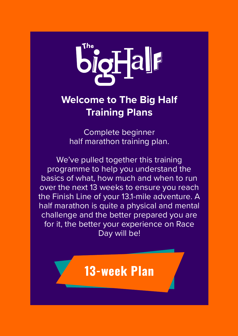

### **Welcome to The Big Half Training Plans**

Complete beginner half marathon training plan.

We've pulled together this training programme to help you understand the basics of what, how much and when to run over the next 13 weeks to ensure you reach the Finish Line of your 13.1-mile adventure. A half marathon is quite a physical and mental challenge and the better prepared you are for it, the better your experience on Race Day will be!

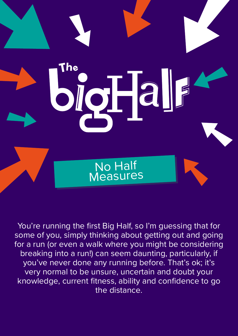

You're running the first Big Half, so I'm guessing that for some of you, simply thinking about getting out and going for a run (or even a walk where you might be considering breaking into a run!) can seem daunting, particularly, if you've never done any running before. That's ok; it's very normal to be unsure, uncertain and doubt your knowledge, current fitness, ability and confidence to go the distance.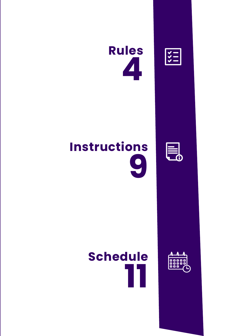





# **Instructions 9**



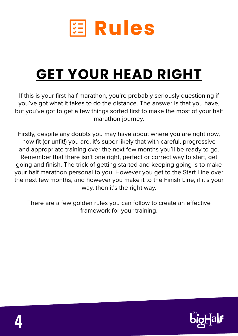

# **GET YOUR HEAD RIGHT**

If this is your first half marathon, you're probably seriously questioning if you've got what it takes to do the distance. The answer is that you have, but you've got to get a few things sorted first to make the most of your half marathon journey.

Firstly, despite any doubts you may have about where you are right now, how fit (or unfit!) you are, it's super likely that with careful, progressive and appropriate training over the next few months you'll be ready to go. Remember that there isn't one right, perfect or correct way to start, get going and finish. The trick of getting started and keeping going is to make your half marathon personal to you. However you get to the Start Line over the next few months, and however you make it to the Finish Line, if it's your way, then it's the right way.

There are a few golden rules you can follow to create an effective framework for your training.

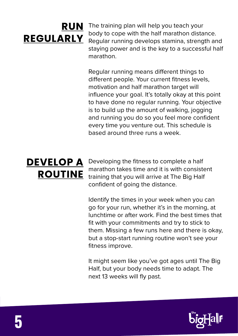### **RUN REGULARLY**

The training plan will help you teach your body to cope with the half marathon distance. Regular running develops stamina, strength and staying power and is the key to a successful half marathon.

Regular running means different things to different people. Your current fitness levels, motivation and half marathon target will influence your goal. It's totally okay at this point to have done no regular running. Your objective is to build up the amount of walking, jogging and running you do so you feel more confident every time you venture out. This schedule is based around three runs a week.

## **DEVELOP A ROUTINE**

Developing the fitness to complete a half marathon takes time and it is with consistent training that you will arrive at The Big Half confident of going the distance.

Identify the times in your week when you can go for your run, whether it's in the morning, at lunchtime or after work. Find the best times that fit with your commitments and try to stick to them. Missing a few runs here and there is okay, but a stop-start running routine won't see your fitness improve.

It might seem like you've got ages until The Big Half, but your body needs time to adapt. The next 13 weeks will fly past.

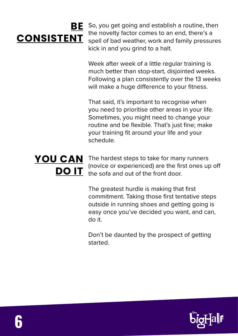### **BE CONSISTENT**

So, you get going and establish a routine, then the novelty factor comes to an end, there's a spell of bad weather, work and family pressures kick in and you grind to a halt.

Week after week of a little regular training is much better than stop-start, disjointed weeks. Following a plan consistently over the 13 weeks will make a huge difference to your fitness.

That said, it's important to recognise when you need to prioritise other areas in your life. Sometimes, you might need to change your routine and be flexible. That's just fine; make your training fit around your life and your schedule.

### **YOU CAN DO IT**

The hardest steps to take for many runners (novice or experienced) are the first ones up off the sofa and out of the front door.

The greatest hurdle is making that first commitment. Taking those first tentative steps outside in running shoes and getting going is easy once you've decided you want, and can, do it.

Don't be daunted by the prospect of getting started.

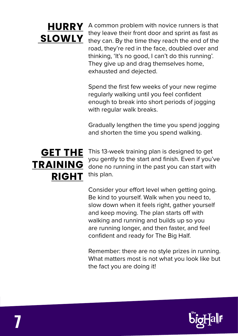

**HURRY** A common problem with novice runners is that they leave their front door and sprint as fast as they leave their front door and sprint as fast as **SLOWLY** they can. By the time they reach the end of the road, they're red in the face, doubled over and thinking, 'It's no good, I can't do this running'. They give up and drag themselves home, exhausted and dejected.

> Spend the first few weeks of your new regime regularly walking until you feel confident enough to break into short periods of jogging with regular walk breaks.

Gradually lengthen the time you spend jogging and shorten the time you spend walking.

### **GET THE TRAINING RIGHT**

This 13-week training plan is designed to get you gently to the start and finish. Even if you've done no running in the past you can start with this plan.

Consider your effort level when getting going. Be kind to yourself. Walk when you need to, slow down when it feels right, gather yourself and keep moving. The plan starts off with walking and running and builds up so you are running longer, and then faster, and feel confident and ready for The Big Half.

Remember: there are no style prizes in running. What matters most is not what you look like but the fact you are doing it!

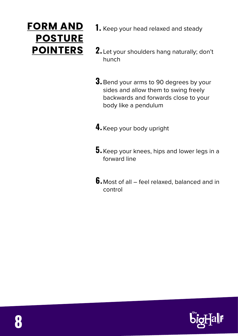### **FORM AND POSTURE POINTERS**

- $\hbox{\bf 1.}$  Keep your head relaxed and steady
- Let your shoulders hang naturally; don't **2.**  hunch
- $\bf{3.}$  Bend your arms to 90 degrees by your sides and allow them to swing freely backwards and forwards close to your body like a pendulum
- **4.** Keep your body upright
- $\mathbf 5.\,$  Keep your knees, hips and lower legs in a forward line
- **6.** Most of all feel relaxed, balanced and in control

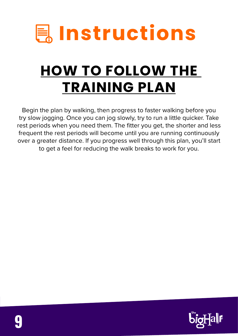

# **HOW TO FOLLOW THE TRAINING PLAN**

Begin the plan by walking, then progress to faster walking before you try slow jogging. Once you can jog slowly, try to run a little quicker. Take rest periods when you need them. The fitter you get, the shorter and less frequent the rest periods will become until you are running continuously over a greater distance. If you progress well through this plan, you'll start to get a feel for reducing the walk breaks to work for you.

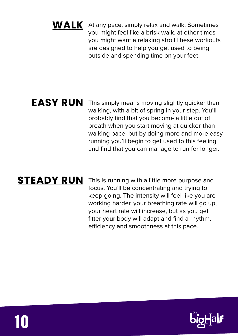#### **WALK** At any pace, simply relax and walk. Sometimes you might feel like a brisk walk, at other times you might want a relaxing stroll.These workouts are designed to help you get used to being outside and spending time on your feet.

#### **EASY RUN**

This simply means moving slightly quicker than walking, with a bit of spring in your step. You'll probably find that you become a little out of breath when you start moving at quicker-thanwalking pace, but by doing more and more easy running you'll begin to get used to this feeling and find that you can manage to run for longer.

#### **STEADY RUN**

This is running with a little more purpose and focus. You'll be concentrating and trying to keep going. The intensity will feel like you are working harder, your breathing rate will go up, your heart rate will increase, but as you get fitter your body will adapt and find a rhythm, efficiency and smoothness at this pace.



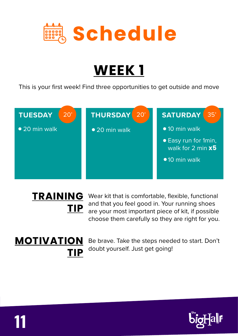

This is your first week! Find three opportunities to get outside and move



# **TIP**

Wear kit that is comfortable, flexible, functional **TRAINING**  and that you feel good in. Your running shoes are your most important piece of kit, if possible choose them carefully so they are right for you.

### **MOTIVATION TIP**

**11**

Be brave. Take the steps needed to start. Don't doubt yourself. Just get going!

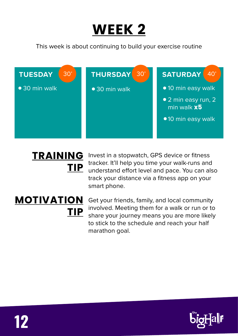

This week is about continuing to build your exercise routine



## **TRAINING TIP**

Invest in a stopwatch, GPS device or fitness tracker. It'll help you time your walk-runs and understand effort level and pace. You can also track your distance via a fitness app on your smart phone.

## **MOTIVATION TIP**

Get your friends, family, and local community involved. Meeting them for a walk or run or to share your journey means you are more likely to stick to the schedule and reach your half marathon goal.

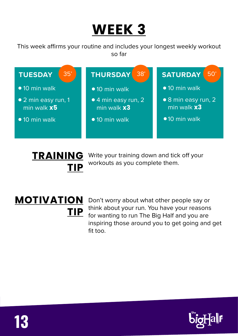This week affirms your routine and includes your longest weekly workout so far



# **TIP**

Write your training down and tick off your **TRAINING**  workouts as you complete them.

## **MOTIVATION TIP**

Don't worry about what other people say or think about your run. You have your reasons for wanting to run The Big Half and you are inspiring those around you to get going and get fit too.

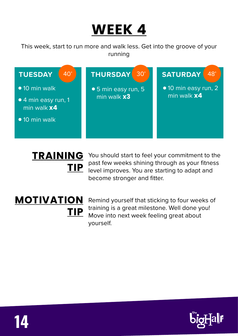This week, start to run more and walk less. Get into the groove of your running



## **TRAINING TIP**

You should start to feel your commitment to the past few weeks shining through as your fitness level improves. You are starting to adapt and become stronger and fitter.

## **MOTIVATION TIP**

Remind yourself that sticking to four weeks of training is a great milestone. Well done you! Move into next week feeling great about yourself.

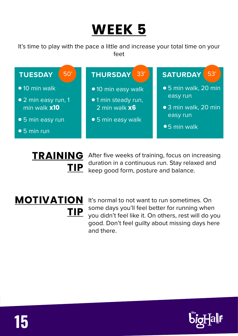It's time to play with the pace a little and increase your total time on your feet



# **TIP**

After five weeks of training, focus on increasing **TRAINING**  duration in a continuous run. Stay relaxed and keep good form, posture and balance.

## **MOTIVATION TIP**

**15**

It's normal to not want to run sometimes. On some days you'll feel better for running when you didn't feel like it. On others, rest will do you good. Don't feel guilty about missing days here and there.

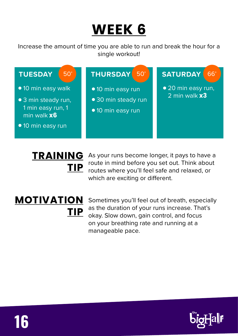Increase the amount of time you are able to run and break the hour for a single workout!



## **TRAINING TIP**

As your runs become longer, it pays to have a route in mind before you set out. Think about routes where you'll feel safe and relaxed, or which are exciting or different.

## **MOTIVATION TIP**

Sometimes you'll feel out of breath, especially as the duration of your runs increase. That's okay. Slow down, gain control, and focus on your breathing rate and running at a manageable pace.

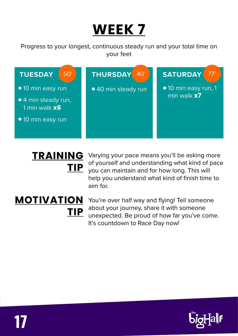Progress to your longest, continuous steady run and your total time on your feet



## **TRAINING TIP**

Varying your pace means you'll be asking more of yourself and understanding what kind of pace you can maintain and for how long. This will help you understand what kind of finish time to aim for.

## **MOTIVATION TIP**

You're over half way and flying! Tell someone about your journey, share it with someone unexpected. Be proud of how far you've come. It's countdown to Race Day now!

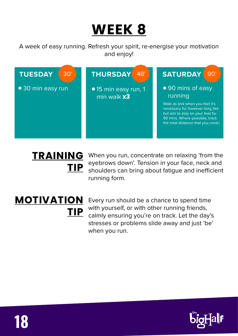A week of easy running. Refresh your spirit, re-energise your motivation and enjoy!



## **TRAINING TIP**

When you run, concentrate on relaxing 'from the eyebrows down'. Tension in your face, neck and shoulders can bring about fatigue and inefficient running form.

## **MOTIVATION TIP**

Every run should be a chance to spend time with yourself, or with other running friends, calmly ensuring you're on track. Let the day's stresses or problems slide away and just 'be' when you run.

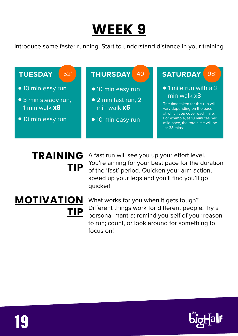Introduce some faster running. Start to understand distance in your training



# **TIP**

**TRAINING** A fast run will see you up your effort level. You're aiming for your best pace for the duration of the 'fast' period. Quicken your arm action, speed up your legs and you'll find you'll go quicker!

## **MOTIVATION TIP**

**19**

What works for you when it gets tough? Different things work for different people. Try a personal mantra; remind yourself of your reason to run; count, or look around for something to focus on!

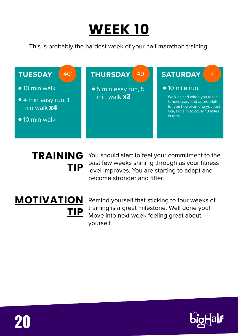

This is probably the hardest week of your half marathon training.



## **TRAINING TIP**

You should start to feel your commitment to the past few weeks shining through as your fitness level improves. You are starting to adapt and become stronger and fitter.

## **MOTIVATION TIP**

Remind yourself that sticking to four weeks of training is a great milestone. Well done you! Move into next week feeling great about yourself.



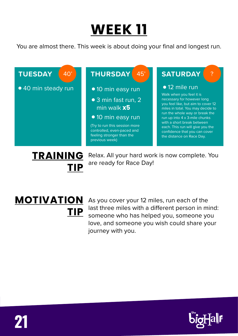You are almost there. This week is about doing your final and longest run.



As you cover your 12 miles, run each of the last three miles with a different person in mind: someone who has helped you, someone you love, and someone you wish could share your journey with you. **TIP**

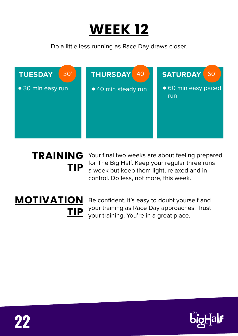

Do a little less running as Race Day draws closer.



## **TRAINING TIP**

Your final two weeks are about feeling prepared for The Big Half. Keep your regular three runs a week but keep them light, relaxed and in control. Do less, not more, this week.

## **MOTIVATION TIP**

Be confident. It's easy to doubt yourself and your training as Race Day approaches. Trust your training. You're in a great place.